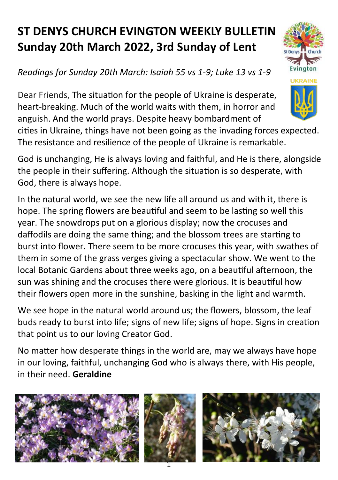## **ST DENYS CHURCH EVINGTON WEEKLY BULLETIN Sunday 20th March 2022, 3rd Sunday of Lent**

## *Readings for Sunday 20th March: Isaiah 55 vs 1-9; Luke 13 vs 1-9*

Dear Friends, The situation for the people of Ukraine is desperate, heart-breaking. Much of the world waits with them, in horror and anguish. And the world prays. Despite heavy bombardment of

cities in Ukraine, things have not been going as the invading forces expected. The resistance and resilience of the people of Ukraine is remarkable.

God is unchanging, He is always loving and faithful, and He is there, alongside the people in their suffering. Although the situation is so desperate, with God, there is always hope.

In the natural world, we see the new life all around us and with it, there is hope. The spring flowers are beautiful and seem to be lasting so well this year. The snowdrops put on a glorious display; now the crocuses and daffodils are doing the same thing; and the blossom trees are starting to burst into flower. There seem to be more crocuses this year, with swathes of them in some of the grass verges giving a spectacular show. We went to the local Botanic Gardens about three weeks ago, on a beautiful afternoon, the sun was shining and the crocuses there were glorious. It is beautiful how their flowers open more in the sunshine, basking in the light and warmth.

We see hope in the natural world around us; the flowers, blossom, the leaf buds ready to burst into life; signs of new life; signs of hope. Signs in creation that point us to our loving Creator God.

No matter how desperate things in the world are, may we always have hope in our loving, faithful, unchanging God who is always there, with His people, in their need. **Geraldine**





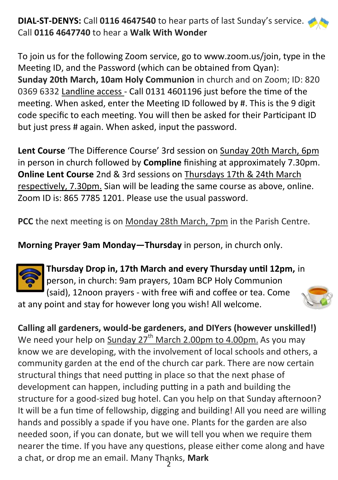## **DIAL-ST-DENYS:** Call **0116 4647540** to hear parts of last Sunday's service. Call **0116 4647740** to hear a **Walk With Wonder**

To join us for the following Zoom service, go to www.zoom.us/join, type in the Meeting ID, and the Password (which can be obtained from Qyan): **Sunday 20th March, 10am Holy Communion** in church and on Zoom; ID: 820 0369 6332 Landline access - Call 0131 4601196 just before the time of the meeting. When asked, enter the Meeting ID followed by #. This is the 9 digit code specific to each meeting. You will then be asked for their Participant ID but just press # again. When asked, input the password.

**Lent Course** 'The Difference Course' 3rd session on Sunday 20th March, 6pm in person in church followed by **Compline** finishing at approximately 7.30pm. **Online Lent Course** 2nd & 3rd sessions on Thursdays 17th & 24th March respectively, 7.30pm. Sian will be leading the same course as above, online. Zoom ID is: 865 7785 1201. Please use the usual password.

**PCC** the next meeting is on Monday 28th March, 7pm in the Parish Centre.

**Morning Prayer 9am Monday—Thursday** in person, in church only.



**Thursday Drop in, 17th March and every Thursday until 12pm,** in person, in church: 9am prayers, 10am BCP Holy Communion (said), 12noon prayers - with free wifi and coffee or tea. Come

at any point and stay for however long you wish! All welcome.



2 a chat, or drop me an email. Many Thanks, **MarkCalling all gardeners, would-be gardeners, and DIYers (however unskilled!)** We need your help on  $Sunday 27<sup>th</sup> March 2.00pm to 4.00pm.$  As you may know we are developing, with the involvement of local schools and others, a community garden at the end of the church car park. There are now certain structural things that need putting in place so that the next phase of development can happen, including putting in a path and building the structure for a good-sized bug hotel. Can you help on that Sunday afternoon? It will be a fun time of fellowship, digging and building! All you need are willing hands and possibly a spade if you have one. Plants for the garden are also needed soon, if you can donate, but we will tell you when we require them nearer the time. If you have any questions, please either come along and have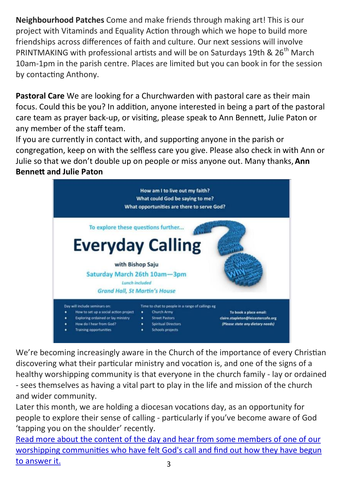**Neighbourhood Patches** Come and make friends through making art! This is our project with Vitaminds and Equality Action through which we hope to build more friendships across differences of faith and culture. Our next sessions will involve PRINTMAKING with professional artists and will be on Saturdays 19th & 26<sup>th</sup> March 10am-1pm in the parish centre. Places are limited but you can book in for the session by contacting Anthony.

**Pastoral Care** We are looking for a Churchwarden with pastoral care as their main focus. Could this be you? In addition, anyone interested in being a part of the pastoral care team as prayer back-up, or visiting, please speak to Ann Bennett, Julie Paton or any member of the staff team.

If you are currently in contact with, and supporting anyone in the parish or congregation, keep on with the selfless care you give. Please also check in with Ann or Julie so that we don't double up on people or miss anyone out. Many thanks, **Ann Bennett and Julie Paton**



We're becoming increasingly aware in the Church of the importance of every Christian discovering what their particular ministry and vocation is, and one of the signs of a healthy worshipping community is that everyone in the church family - lay or ordained - sees themselves as having a vital part to play in the life and mission of the church and wider community.

Later this month, we are holding a diocesan vocations day, as an opportunity for people to explore their sense of calling - particularly if you've become aware of God 'tapping you on the shoulder' recently.

3 [Read more about the content of the day and hear from some members of one of our](https://anglican.us5.list-manage.com/track/click?u=636069b749b52b6445d4ebe93&id=cebd87f382&e=3760f656ee)  [worshipping communities who have felt God's call and find out](https://anglican.us5.list-manage.com/track/click?u=636069b749b52b6445d4ebe93&id=cebd87f382&e=3760f656ee) how they have begun [to answer](https://anglican.us5.list-manage.com/track/click?u=636069b749b52b6445d4ebe93&id=cebd87f382&e=3760f656ee) it.